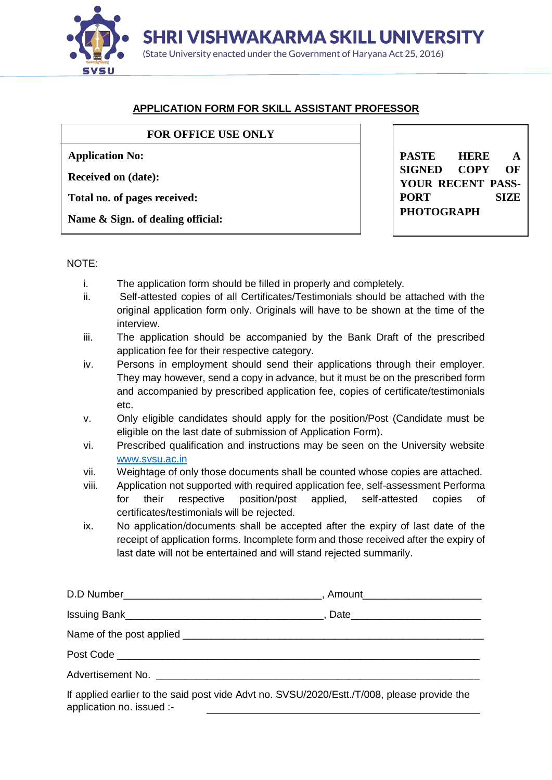

# **APPLICATION FORM FOR SKILL ASSISTANT PROFESSOR**

### **FOR OFFICE USE ONLY**

**Application No:**

**Received on (date):**

**Total no. of pages received:**

**Name & Sign. of dealing official:**

**PASTE HERE A SIGNED COPY OF YOUR RECENT PASS-PORT SIZE PHOTOGRAPH**

### NOTE:

- i. The application form should be filled in properly and completely.
- ii. Self-attested copies of all Certificates/Testimonials should be attached with the original application form only. Originals will have to be shown at the time of the interview.
- iii. The application should be accompanied by the Bank Draft of the prescribed application fee for their respective category.
- iv. Persons in employment should send their applications through their employer. They may however, send a copy in advance, but it must be on the prescribed form and accompanied by prescribed application fee, copies of certificate/testimonials etc.
- v. Only eligible candidates should apply for the position/Post (Candidate must be eligible on the last date of submission of Application Form).
- vi. Prescribed qualification and instructions may be seen on the University website [www.svsu.ac.in](http://www.svsu.ac.in/)
- vii. Weightage of only those documents shall be counted whose copies are attached.
- viii. Application not supported with required application fee, self-assessment Performa for their respective position/post applied, self-attested copies of certificates/testimonials will be rejected.
- ix. No application/documents shall be accepted after the expiry of last date of the receipt of application forms. Incomplete form and those received after the expiry of last date will not be entertained and will stand rejected summarily.

| $\mathbf{R}$ is the set of the set of $\mathbf{R}$ is the contract of $\mathbf{R}$ is the contract of $\mathbf{R}$ |  |
|--------------------------------------------------------------------------------------------------------------------|--|

If applied earlier to the said post vide Advt no. SVSU/2020/Estt./T/008, please provide the application no. issued :-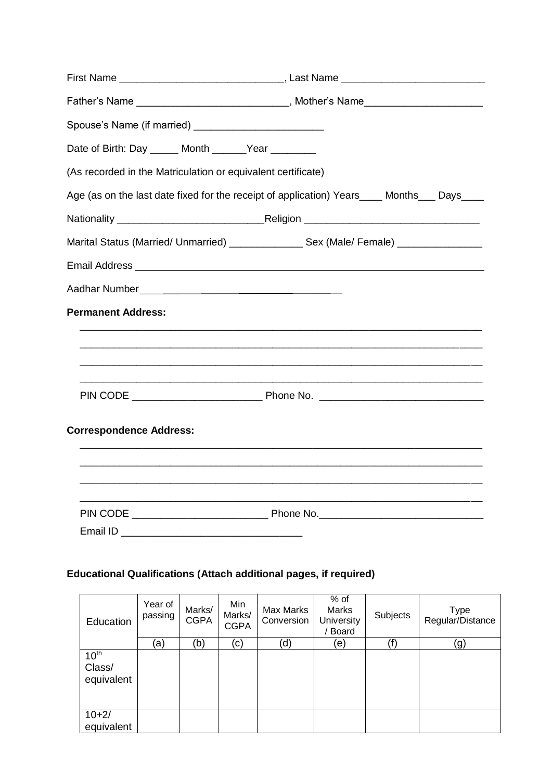| Father's Name _______________________________, Mother's Name____________________            |  |
|---------------------------------------------------------------------------------------------|--|
|                                                                                             |  |
| Date of Birth: Day _____ Month ______Year _______                                           |  |
| (As recorded in the Matriculation or equivalent certificate)                                |  |
| Age (as on the last date fixed for the receipt of application) Years____ Months___ Days____ |  |
|                                                                                             |  |
| Marital Status (Married/ Unmarried) __________________ Sex (Male/ Female) ______________    |  |
|                                                                                             |  |
|                                                                                             |  |
| <b>Permanent Address:</b>                                                                   |  |
| <u> 1989 - Johann Stoff, amerikansk politiker (d. 1989)</u>                                 |  |
|                                                                                             |  |
|                                                                                             |  |
| <b>Correspondence Address:</b>                                                              |  |
|                                                                                             |  |
|                                                                                             |  |
|                                                                                             |  |

# **Educational Qualifications (Attach additional pages, if required)**

| Education                                | Year of<br>passing | Marks/<br><b>CGPA</b> | Min<br>Marks/<br><b>CGPA</b> | Max Marks<br>Conversion | $%$ of<br><b>Marks</b><br>University<br><b>Board</b> | Subjects | Type<br>Regular/Distance |
|------------------------------------------|--------------------|-----------------------|------------------------------|-------------------------|------------------------------------------------------|----------|--------------------------|
|                                          | (a)                | (b)                   | (c)                          | (d)                     | (e)                                                  | (f)      | (g)                      |
| 10 <sup>th</sup><br>Class/<br>equivalent |                    |                       |                              |                         |                                                      |          |                          |
| $10+2/$<br>equivalent                    |                    |                       |                              |                         |                                                      |          |                          |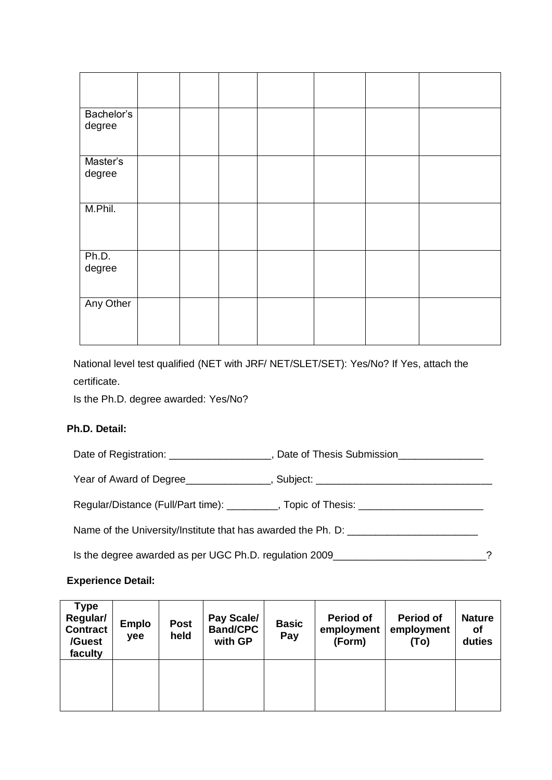| Bachelor's<br>degree |  |  |  |  |
|----------------------|--|--|--|--|
| Master's<br>degree   |  |  |  |  |
| M.Phil.              |  |  |  |  |
| Ph.D.<br>degree      |  |  |  |  |
| Any Other            |  |  |  |  |

National level test qualified (NET with JRF/ NET/SLET/SET): Yes/No? If Yes, attach the certificate.

Is the Ph.D. degree awarded: Yes/No?

## **Ph.D. Detail:**

Date of Registration: \_\_\_\_\_\_\_\_\_\_\_\_\_\_\_\_\_, Date of Thesis Submission

Year of Award of Degree\_\_\_\_\_\_\_\_\_\_\_\_\_, Subject: \_\_\_\_\_\_\_\_\_\_\_\_\_\_\_\_\_\_\_\_\_\_\_\_\_\_\_\_\_\_\_\_\_

Regular/Distance (Full/Part time): \_\_\_\_\_\_\_\_\_, Topic of Thesis: \_\_\_\_\_\_\_\_\_\_\_\_\_\_\_\_\_

Name of the University/Institute that has awarded the Ph. D: \_\_\_\_\_\_\_\_\_\_\_\_\_\_\_\_\_\_\_

Is the degree awarded as per UGC Ph.D. regulation 2009\_\_\_\_\_\_\_\_\_\_\_\_\_\_\_\_\_\_\_\_\_\_\_\_\_\_\_?

### **Experience Detail:**

| Type<br>Regular/<br><b>Contract</b><br>/Guest<br>faculty | <b>Emplo</b><br>yee | <b>Post</b><br>held | Pay Scale/<br><b>Band/CPC</b><br>with GP | <b>Basic</b><br>Pay | <b>Period of</b><br>employment<br>(Form) | <b>Period of</b><br>employment<br>(To) | <b>Nature</b><br>οf<br>duties |
|----------------------------------------------------------|---------------------|---------------------|------------------------------------------|---------------------|------------------------------------------|----------------------------------------|-------------------------------|
|                                                          |                     |                     |                                          |                     |                                          |                                        |                               |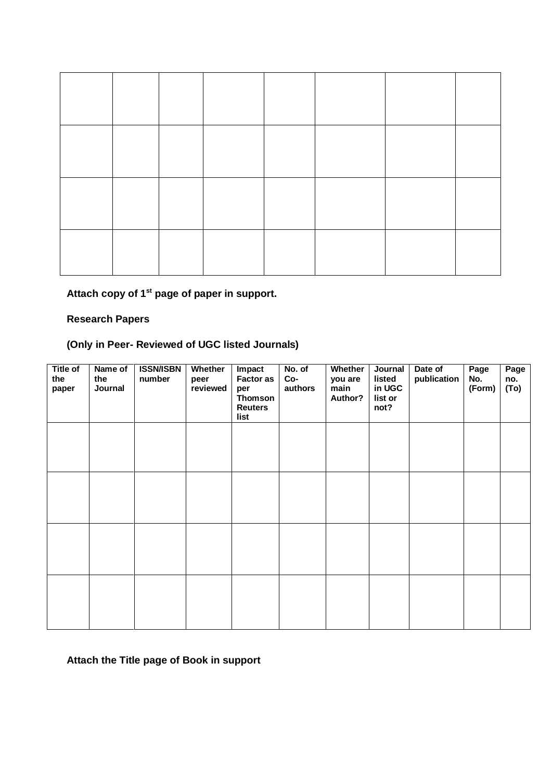**Attach copy of 1st page of paper in support.**

## **Research Papers**

# **(Only in Peer- Reviewed of UGC listed Journals)**

| <b>Title of</b><br>the<br>paper | Name of<br>the<br>Journal | <b>ISSN/ISBN</b><br>number | <b>Whether</b><br>peer<br>reviewed | Impact<br><b>Factor as</b><br>per<br><b>Thomson</b><br><b>Reuters</b><br>list | No. of<br>Co-<br>authors | <b>Whether</b><br>you are<br>main<br>Author? | Journal<br>listed<br>in UGC<br>list or<br>not? | Date of<br>publication | Page<br>No.<br>(Form) | Page<br>no.<br>(To) |
|---------------------------------|---------------------------|----------------------------|------------------------------------|-------------------------------------------------------------------------------|--------------------------|----------------------------------------------|------------------------------------------------|------------------------|-----------------------|---------------------|
|                                 |                           |                            |                                    |                                                                               |                          |                                              |                                                |                        |                       |                     |
|                                 |                           |                            |                                    |                                                                               |                          |                                              |                                                |                        |                       |                     |
|                                 |                           |                            |                                    |                                                                               |                          |                                              |                                                |                        |                       |                     |
|                                 |                           |                            |                                    |                                                                               |                          |                                              |                                                |                        |                       |                     |

# **Attach the Title page of Book in support**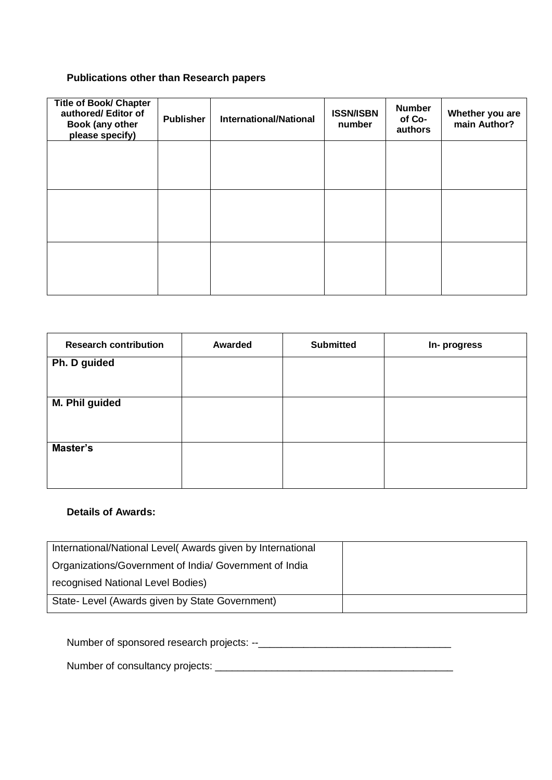## **Publications other than Research papers**

| <b>Title of Book/ Chapter</b><br>authored/ Editor of<br>Book (any other<br>please specify) | <b>Publisher</b> | <b>International/National</b> | <b>ISSN/ISBN</b><br>number | <b>Number</b><br>of Co-<br>authors | Whether you are<br>main Author? |
|--------------------------------------------------------------------------------------------|------------------|-------------------------------|----------------------------|------------------------------------|---------------------------------|
|                                                                                            |                  |                               |                            |                                    |                                 |
|                                                                                            |                  |                               |                            |                                    |                                 |
|                                                                                            |                  |                               |                            |                                    |                                 |

| <b>Research contribution</b> | <b>Awarded</b> | <b>Submitted</b> | In-progress |
|------------------------------|----------------|------------------|-------------|
| Ph. D guided                 |                |                  |             |
|                              |                |                  |             |
| M. Phil guided               |                |                  |             |
|                              |                |                  |             |
| Master's                     |                |                  |             |
|                              |                |                  |             |

### **Details of Awards:**

| International/National Level(Awards given by International |  |
|------------------------------------------------------------|--|
| Organizations/Government of India/ Government of India     |  |
| recognised National Level Bodies)                          |  |
| State- Level (Awards given by State Government)            |  |

Number of sponsored research projects: --\_\_\_\_\_\_\_\_\_\_\_\_\_\_\_\_\_\_\_\_\_\_\_\_\_\_\_\_\_\_\_\_\_\_

Number of consultancy projects: \_\_\_\_\_\_\_\_\_\_\_\_\_\_\_\_\_\_\_\_\_\_\_\_\_\_\_\_\_\_\_\_\_\_\_\_\_\_\_\_\_\_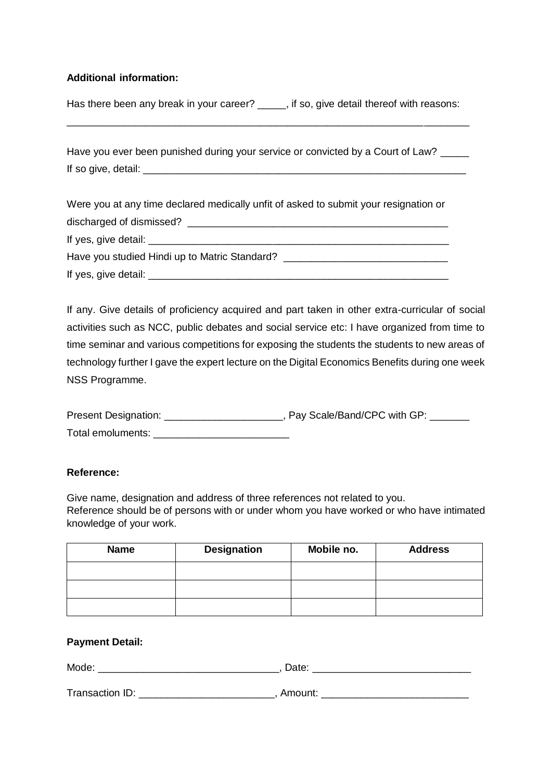### **Additional information:**

Has there been any break in your career? \_\_\_\_, if so, give detail thereof with reasons:

\_\_\_\_\_\_\_\_\_\_\_\_\_\_\_\_\_\_\_\_\_\_\_\_\_\_\_\_\_\_\_\_\_\_\_\_\_\_\_\_\_\_\_\_\_\_\_\_\_\_\_\_\_\_\_\_\_\_\_\_\_\_\_\_\_\_\_\_\_\_\_

Have you ever been punished during your service or convicted by a Court of Law? If so give, detail:  $\Box$ 

Were you at any time declared medically unfit of asked to submit your resignation or discharged of dismissed? \_\_\_\_\_\_\_\_\_\_\_\_\_\_\_\_\_\_\_\_\_\_\_\_\_\_\_\_\_\_\_\_\_\_\_\_\_\_\_\_\_\_\_\_\_\_ If yes, give detail: Have you studied Hindi up to Matric Standard? \_\_\_\_\_\_\_\_\_\_\_\_\_\_\_\_\_\_\_\_\_\_\_\_\_\_\_\_\_\_\_\_\_\_ If yes, give detail: \_\_\_\_\_\_\_\_\_\_\_\_\_\_\_\_\_\_\_\_\_\_\_\_\_\_\_\_\_\_\_\_\_\_\_\_\_\_\_\_\_\_\_\_\_\_\_\_\_\_\_\_\_

If any. Give details of proficiency acquired and part taken in other extra-curricular of social activities such as NCC, public debates and social service etc: I have organized from time to time seminar and various competitions for exposing the students the students to new areas of technology further I gave the expert lecture on the Digital Economics Benefits during one week NSS Programme.

| Present Designation: | , Pay Scale/Band/CPC with GP: |
|----------------------|-------------------------------|
| Total emoluments:    |                               |

### **Reference:**

Give name, designation and address of three references not related to you. Reference should be of persons with or under whom you have worked or who have intimated knowledge of your work.

| <b>Name</b> | <b>Designation</b> | Mobile no. | <b>Address</b> |
|-------------|--------------------|------------|----------------|
|             |                    |            |                |
|             |                    |            |                |
|             |                    |            |                |

### **Payment Detail:**

| Mode | ---<br>ິ<br>. |
|------|---------------|
|------|---------------|

Transaction ID: \_\_\_\_\_\_\_\_\_\_\_\_\_\_\_\_\_\_\_\_\_\_\_\_\_, Amount: \_\_\_\_\_\_\_\_\_\_\_\_\_\_\_\_\_\_\_\_\_\_\_\_\_\_\_\_\_